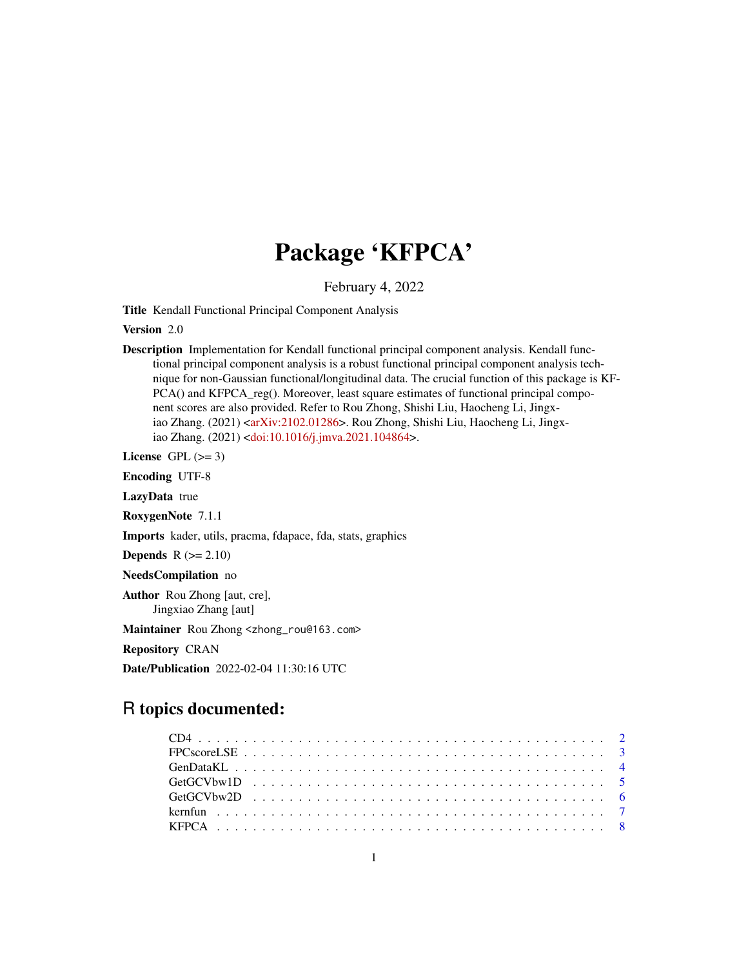## Package 'KFPCA'

February 4, 2022

<span id="page-0-0"></span>Title Kendall Functional Principal Component Analysis

Version 2.0

Description Implementation for Kendall functional principal component analysis. Kendall functional principal component analysis is a robust functional principal component analysis technique for non-Gaussian functional/longitudinal data. The crucial function of this package is KF-PCA() and KFPCA\_reg(). Moreover, least square estimates of functional principal component scores are also provided. Refer to Rou Zhong, Shishi Liu, Haocheng Li, Jingx-iao Zhang. (2021) [<arXiv:2102.01286>](https://arxiv.org/abs/2102.01286). Rou Zhong, Shishi Liu, Haocheng Li, Jingxiao Zhang. (2021) [<doi:10.1016/j.jmva.2021.104864>](https://doi.org/10.1016/j.jmva.2021.104864).

License GPL  $(>= 3)$ 

Encoding UTF-8

LazyData true

RoxygenNote 7.1.1

Imports kader, utils, pracma, fdapace, fda, stats, graphics

**Depends**  $R$  ( $>= 2.10$ )

NeedsCompilation no

Author Rou Zhong [aut, cre], Jingxiao Zhang [aut]

Maintainer Rou Zhong <zhong\_rou@163.com>

Repository CRAN

Date/Publication 2022-02-04 11:30:16 UTC

### R topics documented: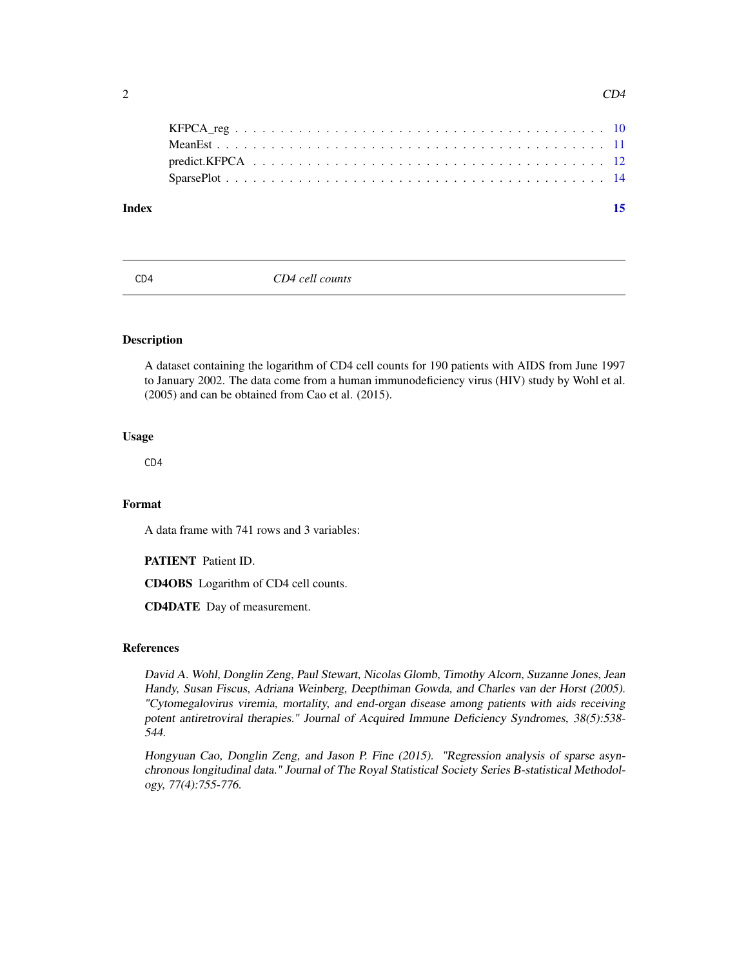<span id="page-1-0"></span>

| Index |  |
|-------|--|
|       |  |
|       |  |
|       |  |
|       |  |
|       |  |

CD4 *CD4 cell counts*

#### Description

A dataset containing the logarithm of CD4 cell counts for 190 patients with AIDS from June 1997 to January 2002. The data come from a human immunodeficiency virus (HIV) study by Wohl et al. (2005) and can be obtained from Cao et al. (2015).

#### Usage

CD4

#### Format

A data frame with 741 rows and 3 variables:

PATIENT Patient ID.

CD4OBS Logarithm of CD4 cell counts.

CD4DATE Day of measurement.

#### References

David A. Wohl, Donglin Zeng, Paul Stewart, Nicolas Glomb, Timothy Alcorn, Suzanne Jones, Jean Handy, Susan Fiscus, Adriana Weinberg, Deepthiman Gowda, and Charles van der Horst (2005). "Cytomegalovirus viremia, mortality, and end-organ disease among patients with aids receiving potent antiretroviral therapies." Journal of Acquired Immune Deficiency Syndromes, 38(5):538-544.

Hongyuan Cao, Donglin Zeng, and Jason P. Fine (2015). "Regression analysis of sparse asynchronous longitudinal data." Journal of The Royal Statistical Society Series B-statistical Methodology, 77(4):755-776.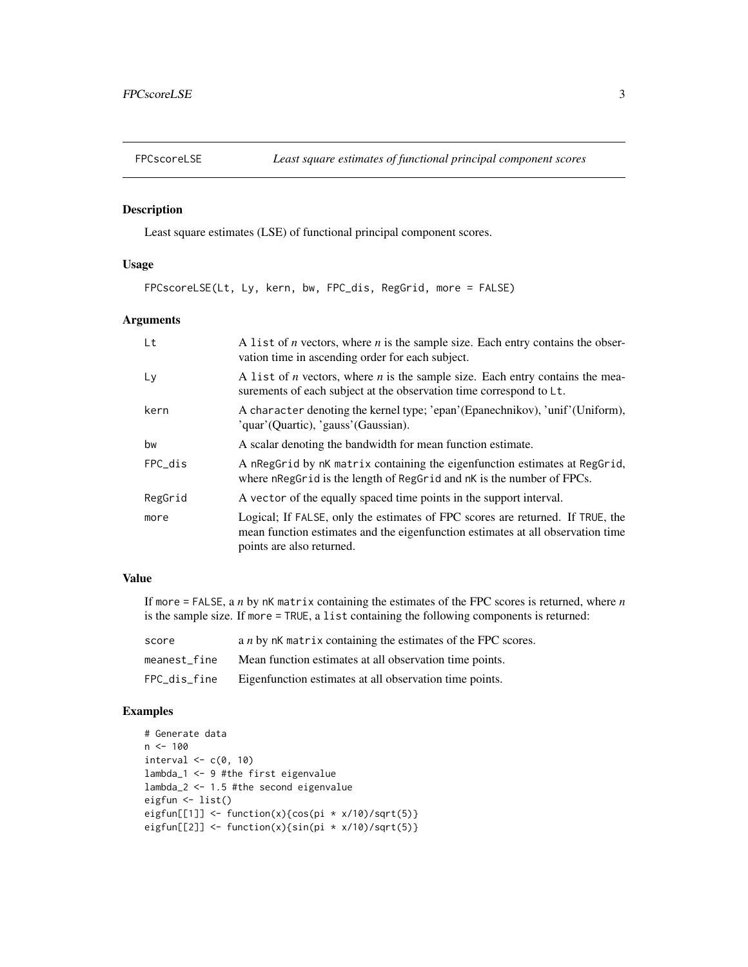<span id="page-2-0"></span>

#### Description

Least square estimates (LSE) of functional principal component scores.

#### Usage

FPCscoreLSE(Lt, Ly, kern, bw, FPC\_dis, RegGrid, more = FALSE)

#### Arguments

| Lt      | A list of <i>n</i> vectors, where <i>n</i> is the sample size. Each entry contains the obser-<br>vation time in ascending order for each subject.                                              |
|---------|------------------------------------------------------------------------------------------------------------------------------------------------------------------------------------------------|
| Ly      | A list of <i>n</i> vectors, where <i>n</i> is the sample size. Each entry contains the mea-<br>surements of each subject at the observation time correspond to Lt.                             |
| kern    | A character denoting the kernel type; 'epan'(Epanechnikov), 'unif'(Uniform),<br>'quar'(Quartic), 'gauss'(Gaussian).                                                                            |
| bw      | A scalar denoting the bandwidth for mean function estimate.                                                                                                                                    |
| FPC dis | A nRegGrid by nK matrix containing the eigenfunction estimates at RegGrid,<br>where nRegGrid is the length of RegGrid and nK is the number of FPCs.                                            |
| RegGrid | A vector of the equally spaced time points in the support interval.                                                                                                                            |
| more    | Logical; If FALSE, only the estimates of FPC scores are returned. If TRUE, the<br>mean function estimates and the eigenfunction estimates at all observation time<br>points are also returned. |

#### Value

If more = FALSE, a *n* by nK matrix containing the estimates of the FPC scores is returned, where *n* is the sample size. If more = TRUE, a list containing the following components is returned:

| score        | a <i>n</i> by nK matrix containing the estimates of the FPC scores. |
|--------------|---------------------------------------------------------------------|
| meanest fine | Mean function estimates at all observation time points.             |
| FPC_dis_fine | Eigenfunction estimates at all observation time points.             |

```
# Generate data
n < - 100interval \leq c(0, 10)lambda_1 <- 9 #the first eigenvalue
lambda_2 <- 1.5 #the second eigenvalue
eigfun <- list()
eigfun[[1]] <- function(x){cos(pi * x/10)/sqrt(5)}
eigfun[[2]] <- function(x){sin(pi * x/10)/sqrt(5)}
```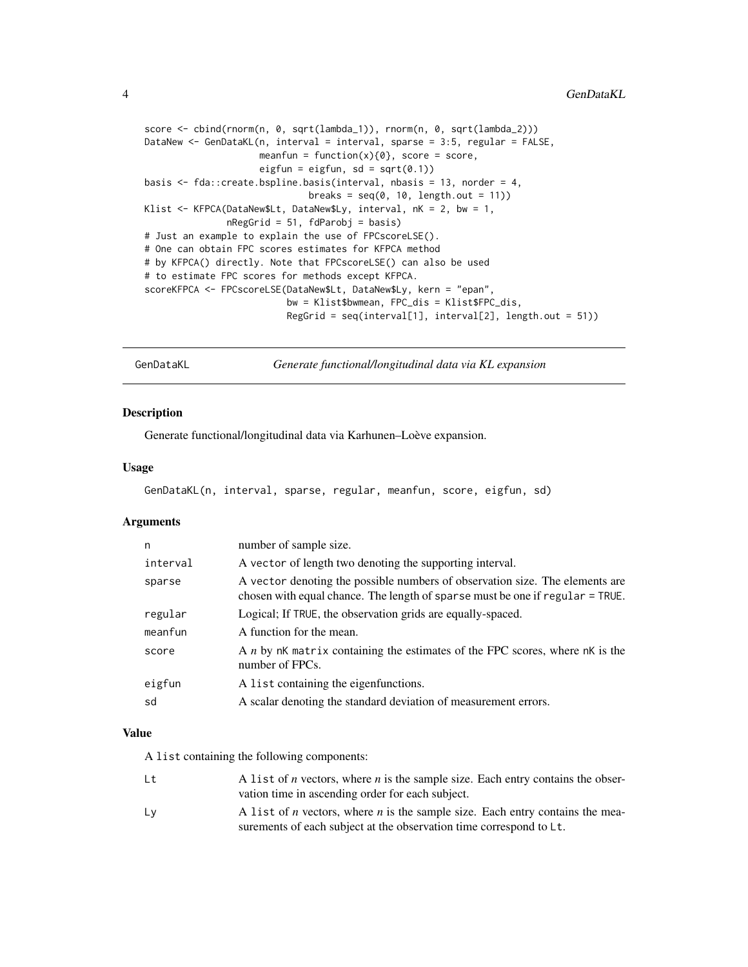<span id="page-3-0"></span>4 GenDataKL

```
score <- cbind(rnorm(n, 0, sqrt(lambda_1)), rnorm(n, 0, sqrt(lambda_2)))
DataNew <- GenDataKL(n, interval = interval, sparse = 3:5, regular = FALSE,
                     meanfun = function(x)\{0\}, score = score,
                     eigfun = eigfun, sd = sqrt(0.1))
basis <- fda::create.bspline.basis(interval, nbasis = 13, norder = 4,
                              breaks = seq(0, 10, length.out = 11))Klist <- KFPCA(DataNew$Lt, DataNew$Ly, interval, nK = 2, bw = 1,
               nRegGrid = 51, fdParobj = basis)
# Just an example to explain the use of FPCscoreLSE().
# One can obtain FPC scores estimates for KFPCA method
# by KFPCA() directly. Note that FPCscoreLSE() can also be used
# to estimate FPC scores for methods except KFPCA.
scoreKFPCA <- FPCscoreLSE(DataNew$Lt, DataNew$Ly, kern = "epan",
                          bw = Klist$bwmean, FPC_dis = Klist$FPC_dis,
                          RegGrid = seq(interval[1], interval[2], length.out = 51))
```
GenDataKL *Generate functional/longitudinal data via KL expansion*

#### Description

Generate functional/longitudinal data via Karhunen–Loève expansion.

#### Usage

```
GenDataKL(n, interval, sparse, regular, meanfun, score, eigfun, sd)
```
#### Arguments

| n        | number of sample size.                                                                                                                                        |
|----------|---------------------------------------------------------------------------------------------------------------------------------------------------------------|
| interval | A vector of length two denoting the supporting interval.                                                                                                      |
| sparse   | A vector denoting the possible numbers of observation size. The elements are<br>chosen with equal chance. The length of sparse must be one if regular = TRUE. |
| regular  | Logical; If TRUE, the observation grids are equally-spaced.                                                                                                   |
| meanfun  | A function for the mean.                                                                                                                                      |
| score    | A <i>n</i> by nK matrix containing the estimates of the FPC scores, where nK is the<br>number of FPCs.                                                        |
| eigfun   | A list containing the eigenfunctions.                                                                                                                         |
| sd       | A scalar denoting the standard deviation of measurement errors.                                                                                               |

#### Value

A list containing the following components:

| Lt | A list of <i>n</i> vectors, where <i>n</i> is the sample size. Each entry contains the obser- |
|----|-----------------------------------------------------------------------------------------------|
|    | vation time in ascending order for each subject.                                              |
| Lv | A list of <i>n</i> vectors, where <i>n</i> is the sample size. Each entry contains the mea-   |
|    | surements of each subject at the observation time correspond to Lt.                           |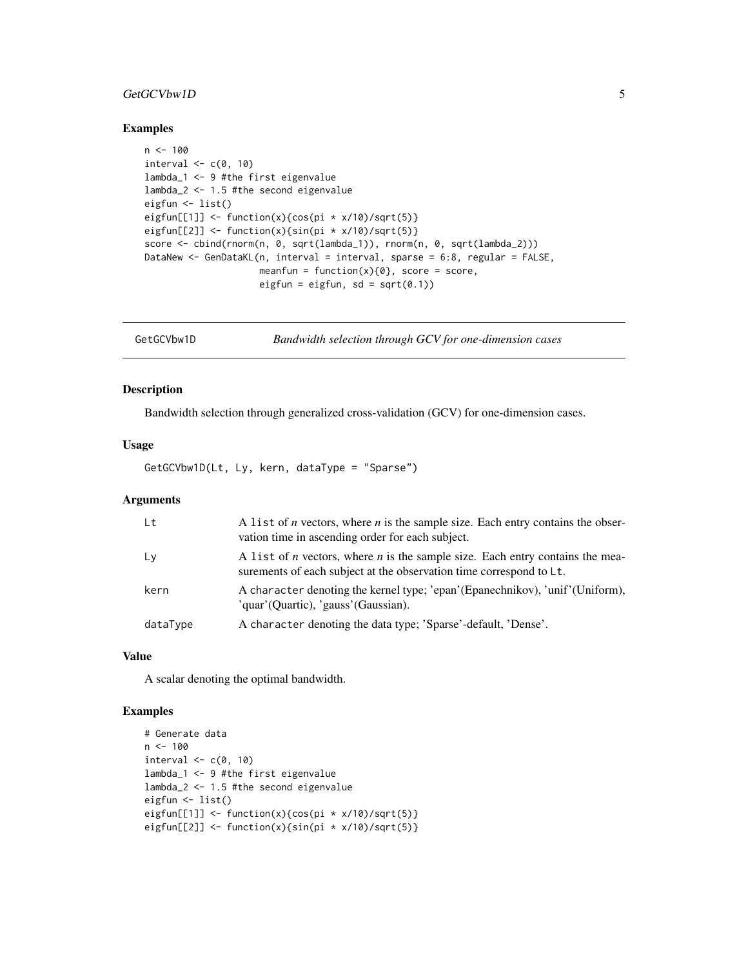#### <span id="page-4-0"></span>GetGCVbw1D 5

#### Examples

```
n < -100interval \leq -c(0, 10)lambda_1 <- 9 #the first eigenvalue
lambda_2 <- 1.5 #the second eigenvalue
eigfun <- list()
eigfun[[1]] <- function(x){cos(pi * x/10)/sqrt(5)}
eigfun[[2]] <- function(x){sin(pi * x/10)/sqrt(5)}
score <- cbind(rnorm(n, 0, sqrt(lambda_1)), rnorm(n, 0, sqrt(lambda_2)))
DataNew <- GenDataKL(n, interval = interval, sparse = 6:8, regular = FALSE,
                     meanfun = function(x){0}, score = score,
                     eigfun = eigfun, sd = sqrt(0.1))
```
GetGCVbw1D *Bandwidth selection through GCV for one-dimension cases*

#### Description

Bandwidth selection through generalized cross-validation (GCV) for one-dimension cases.

#### Usage

GetGCVbw1D(Lt, Ly, kern, dataType = "Sparse")

#### Arguments

| Lt       | A list of <i>n</i> vectors, where <i>n</i> is the sample size. Each entry contains the obser-<br>vation time in ascending order for each subject.                  |
|----------|--------------------------------------------------------------------------------------------------------------------------------------------------------------------|
| L V      | A list of <i>n</i> vectors, where <i>n</i> is the sample size. Each entry contains the mea-<br>surements of each subject at the observation time correspond to Lt. |
| kern     | A character denoting the kernel type; 'epan' (Epanechnikov), 'unif' (Uniform),<br>'quar'(Quartic), 'gauss'(Gaussian).                                              |
| dataType | A character denoting the data type; 'Sparse'-default, 'Dense'.                                                                                                     |

#### Value

A scalar denoting the optimal bandwidth.

```
# Generate data
n < -100interval \leq c(0, 10)
lambda_1 <- 9 #the first eigenvalue
lambda_2 <- 1.5 #the second eigenvalue
eigfun <- list()
eigfun[[1]] <- function(x){cos(pi * x/10)/sqrt(5)}
eigfun[[2]] <- function(x){sin(pi * x/10)/sqrt(5)}
```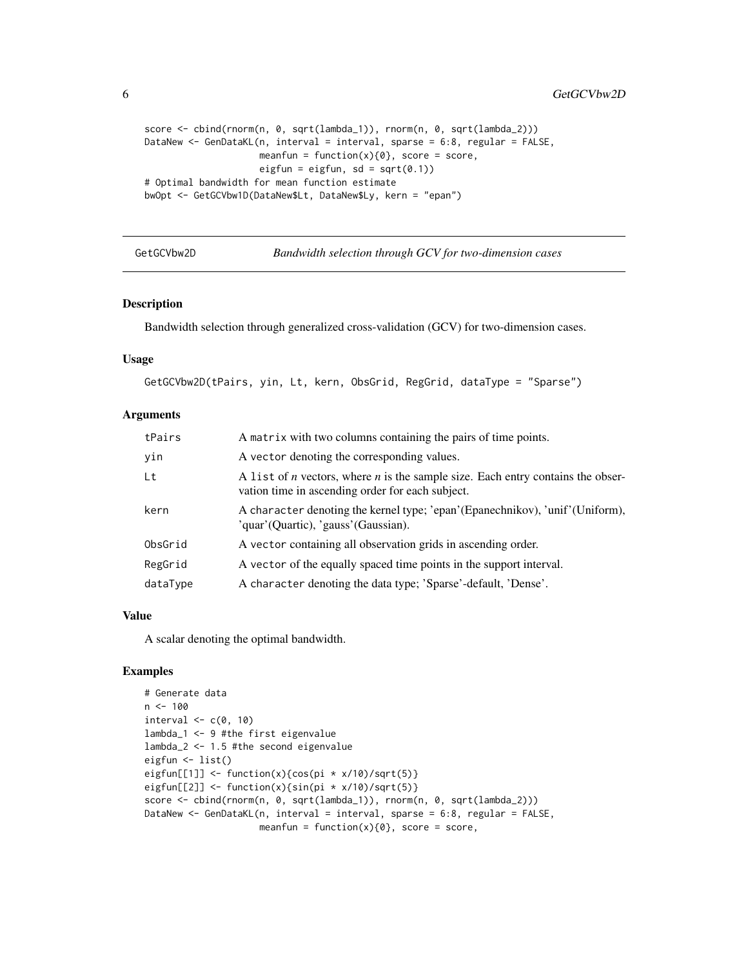<span id="page-5-0"></span>6 GetGCVbw2D

```
score <- cbind(rnorm(n, 0, sqrt(lambda_1)), rnorm(n, 0, sqrt(lambda_2)))
DataNew <- GenDataKL(n, interval = interval, sparse = 6:8, regular = FALSE,
                     meanfun = function(x)\{0\}, score = score,
                     eigfun = eigfun, sd = sqrt(0.1))
# Optimal bandwidth for mean function estimate
bwOpt <- GetGCVbw1D(DataNew$Lt, DataNew$Ly, kern = "epan")
```
GetGCVbw2D *Bandwidth selection through GCV for two-dimension cases*

#### Description

Bandwidth selection through generalized cross-validation (GCV) for two-dimension cases.

#### Usage

GetGCVbw2D(tPairs, yin, Lt, kern, ObsGrid, RegGrid, dataType = "Sparse")

#### Arguments

| tPairs   | A matrix with two columns containing the pairs of time points.                                                                                    |
|----------|---------------------------------------------------------------------------------------------------------------------------------------------------|
| yin      | A vector denoting the corresponding values.                                                                                                       |
| Lt       | A list of <i>n</i> vectors, where <i>n</i> is the sample size. Each entry contains the obser-<br>vation time in ascending order for each subject. |
| kern     | A character denoting the kernel type; 'epan' (Epanechnikov), 'unif' (Uniform),<br>'quar'(Quartic), 'gauss'(Gaussian).                             |
| ObsGrid  | A vector containing all observation grids in ascending order.                                                                                     |
| RegGrid  | A vector of the equally spaced time points in the support interval.                                                                               |
| dataType | A character denoting the data type; 'Sparse'-default, 'Dense'.                                                                                    |

#### Value

A scalar denoting the optimal bandwidth.

```
# Generate data
n < -100interval \leq c(0, 10)lambda_1 <- 9 #the first eigenvalue
lambda_2 <- 1.5 #the second eigenvalue
eigfun <- list()
eigfun[[1]] <- function(x){cos(pi * x/10)/sqrt(5)}
eigfun[[2]] \leftarrow function(x){sin(pi * x/10)/sqrt(5)}
score <- cbind(rnorm(n, 0, sqrt(lambda_1)), rnorm(n, 0, sqrt(lambda_2)))
DataNew <- GenDataKL(n, interval = interval, sparse = 6:8, regular = FALSE,
                     meanfun = function(x){0}, score = score,
```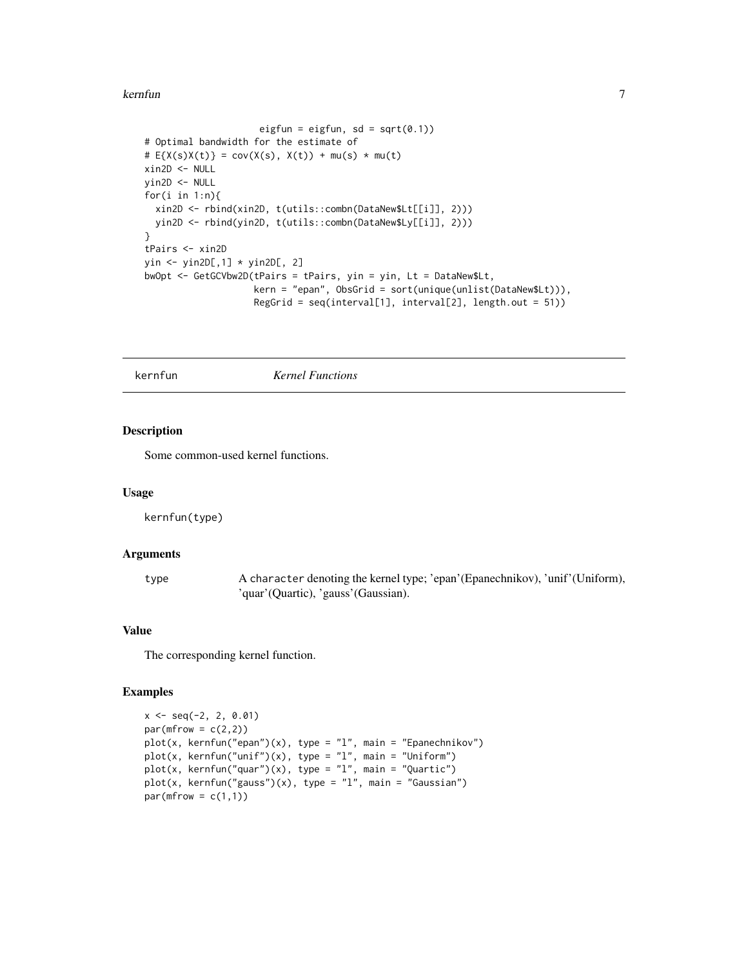#### <span id="page-6-0"></span>kernfun $\sim$  7

```
eigfun = eigfun, sd = sqrt(0.1))
# Optimal bandwidth for the estimate of
# E{X(s)X(t)} = cov(X(s), X(t)) + mu(s) * mu(t)xin2D <- NULL
yin2D <- NULL
for(i in 1:n){
 xin2D <- rbind(xin2D, t(utils::combn(DataNew$Lt[[i]], 2)))
  yin2D <- rbind(yin2D, t(utils::combn(DataNew$Ly[[i]], 2)))
}
tPairs <- xin2D
yin <- yin2D[,1] * yin2D[, 2]
bwOpt <- GetGCVbw2D(tPairs = tPairs, yin = yin, Lt = DataNew$Lt,
                    kern = "epan", ObsGrid = sort(unique(unlist(DataNew$Lt))),
                    RegGrid = seq(interval[1], interval[2], length.out = 51)
```
kernfun *Kernel Functions*

#### Description

Some common-used kernel functions.

#### Usage

kernfun(type)

#### Arguments

type A character denoting the kernel type; 'epan'(Epanechnikov), 'unif'(Uniform), 'quar'(Quartic), 'gauss'(Gaussian).

#### Value

The corresponding kernel function.

```
x \le - seq(-2, 2, 0.01)
par(mfrow = c(2,2))plot(x, kernfun("epan"))(x), type = "l", main = "Epanechnikov")plot(x, kernfun("unif')(x), type = "l", main = "Uniform")plot(x, kernfun("quar"))(x), type = "l", main = "Quartic")plot(x, kernfun("gauss"))(x), type = "l", main = "Gaussian")par(mfrow = c(1,1))
```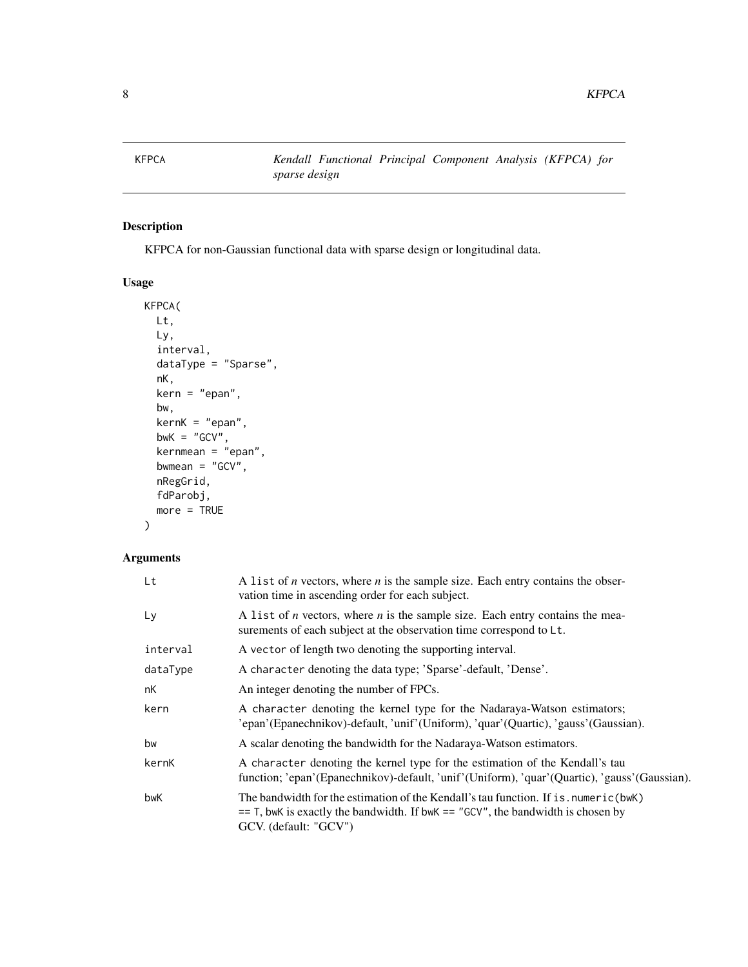<span id="page-7-1"></span><span id="page-7-0"></span>KFPCA *Kendall Functional Principal Component Analysis (KFPCA) for sparse design*

#### Description

KFPCA for non-Gaussian functional data with sparse design or longitudinal data.

#### Usage

```
KFPCA(
 Lt,
 Ly,
  interval,
 dataType = "Sparse",
 nK,
 kern = "epan",
 bw,
 kernK = "epan",
 bwK = "GCV",kernmean = "epan",
 bwmean = "GCV",
 nRegGrid,
 fdParobj,
 more = TRUE
```
#### )

#### Arguments

| Lt       | A list of <i>n</i> vectors, where <i>n</i> is the sample size. Each entry contains the obser-<br>vation time in ascending order for each subject.                                                 |
|----------|---------------------------------------------------------------------------------------------------------------------------------------------------------------------------------------------------|
| Ly       | A list of <i>n</i> vectors, where <i>n</i> is the sample size. Each entry contains the mea-<br>surements of each subject at the observation time correspond to Lt.                                |
| interval | A vector of length two denoting the supporting interval.                                                                                                                                          |
| dataType | A character denoting the data type; 'Sparse'-default, 'Dense'.                                                                                                                                    |
| nK       | An integer denoting the number of FPCs.                                                                                                                                                           |
| kern     | A character denoting the kernel type for the Nadaraya-Watson estimators;<br>'epan'(Epanechnikov)-default, 'unif'(Uniform), 'quar'(Quartic), 'gauss'(Gaussian).                                    |
| bw       | A scalar denoting the bandwidth for the Nadaraya-Watson estimators.                                                                                                                               |
| kernK    | A character denoting the kernel type for the estimation of the Kendall's tau<br>function; 'epan'(Epanechnikov)-default, 'unif'(Uniform), 'quar'(Quartic), 'gauss'(Gaussian).                      |
| bwK      | The bandwidth for the estimation of the Kendall's tau function. If is numeric (bwK)<br>$=$ T, bwK is exactly the bandwidth. If bwK $=$ "GCV", the bandwidth is chosen by<br>GCV. (default: "GCV") |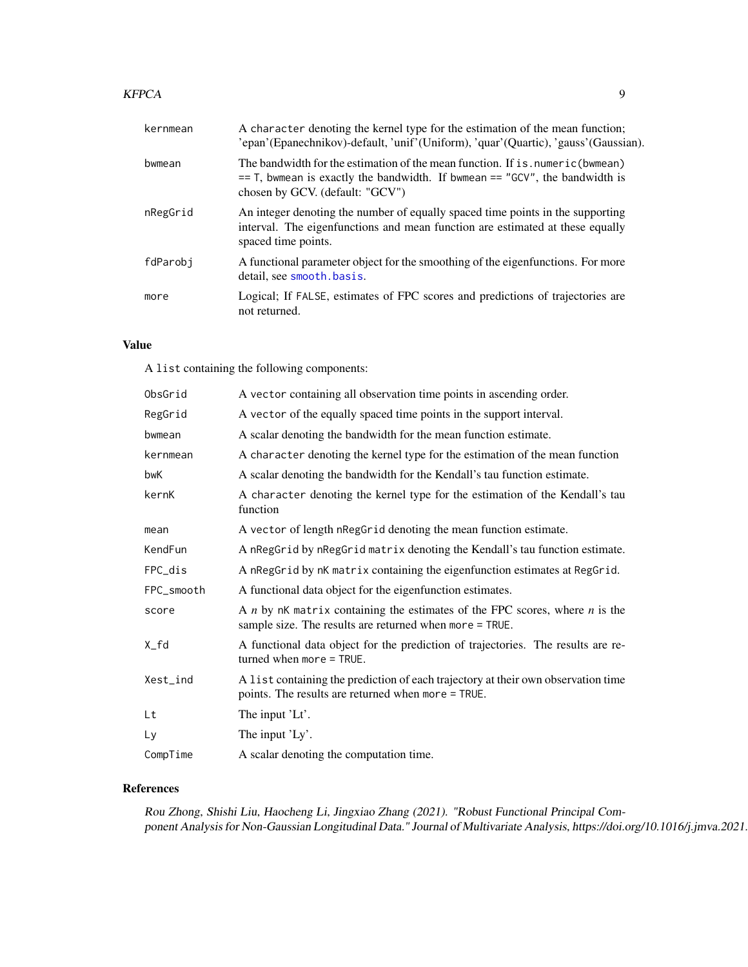#### <span id="page-8-0"></span>KFPCA 99

| kernmean | A character denoting the kernel type for the estimation of the mean function;<br>'epan'(Epanechnikov)-default, 'unif'(Uniform), 'quar'(Quartic), 'gauss'(Gaussian).                                  |
|----------|------------------------------------------------------------------------------------------------------------------------------------------------------------------------------------------------------|
| bwmean   | The bandwidth for the estimation of the mean function. If is, numeric (bwmean)<br>$==$ T, bwmean is exactly the bandwidth. If bwmean $==$ "GCV", the bandwidth is<br>chosen by GCV. (default: "GCV") |
| nRegGrid | An integer denoting the number of equally spaced time points in the supporting<br>interval. The eigenfunctions and mean function are estimated at these equally<br>spaced time points.               |
| fdParobj | A functional parameter object for the smoothing of the eigenfunctions. For more<br>detail, see smooth basis.                                                                                         |
| more     | Logical; If FALSE, estimates of FPC scores and predictions of trajectories are<br>not returned.                                                                                                      |

#### Value

A list containing the following components:

| ObsGrid    | A vector containing all observation time points in ascending order.                                                                        |
|------------|--------------------------------------------------------------------------------------------------------------------------------------------|
| RegGrid    | A vector of the equally spaced time points in the support interval.                                                                        |
| bwmean     | A scalar denoting the bandwidth for the mean function estimate.                                                                            |
| kernmean   | A character denoting the kernel type for the estimation of the mean function                                                               |
| bwK        | A scalar denoting the bandwidth for the Kendall's tau function estimate.                                                                   |
| kernK      | A character denoting the kernel type for the estimation of the Kendall's tau<br>function                                                   |
| mean       | A vector of length nRegGrid denoting the mean function estimate.                                                                           |
| KendFun    | A nRegGrid by nRegGrid matrix denoting the Kendall's tau function estimate.                                                                |
| FPC_dis    | A nRegGrid by nK matrix containing the eigenfunction estimates at RegGrid.                                                                 |
| FPC_smooth | A functional data object for the eigenfunction estimates.                                                                                  |
| score      | A $n$ by nK matrix containing the estimates of the FPC scores, where $n$ is the<br>sample size. The results are returned when more = TRUE. |
| X_fd       | A functional data object for the prediction of trajectories. The results are re-<br>turned when more $=$ TRUE.                             |
| Xest_ind   | A list containing the prediction of each trajectory at their own observation time<br>points. The results are returned when more = TRUE.    |
| Lt         | The input 'Lt'.                                                                                                                            |
| Ly         | The input 'Ly'.                                                                                                                            |
| CompTime   | A scalar denoting the computation time.                                                                                                    |

#### References

Rou Zhong, Shishi Liu, Haocheng Li, Jingxiao Zhang (2021). "Robust Functional Principal Component Analysis for Non-Gaussian Longitudinal Data." Journal of Multivariate Analysis, https://doi.org/10.1016/j.jmva.2021.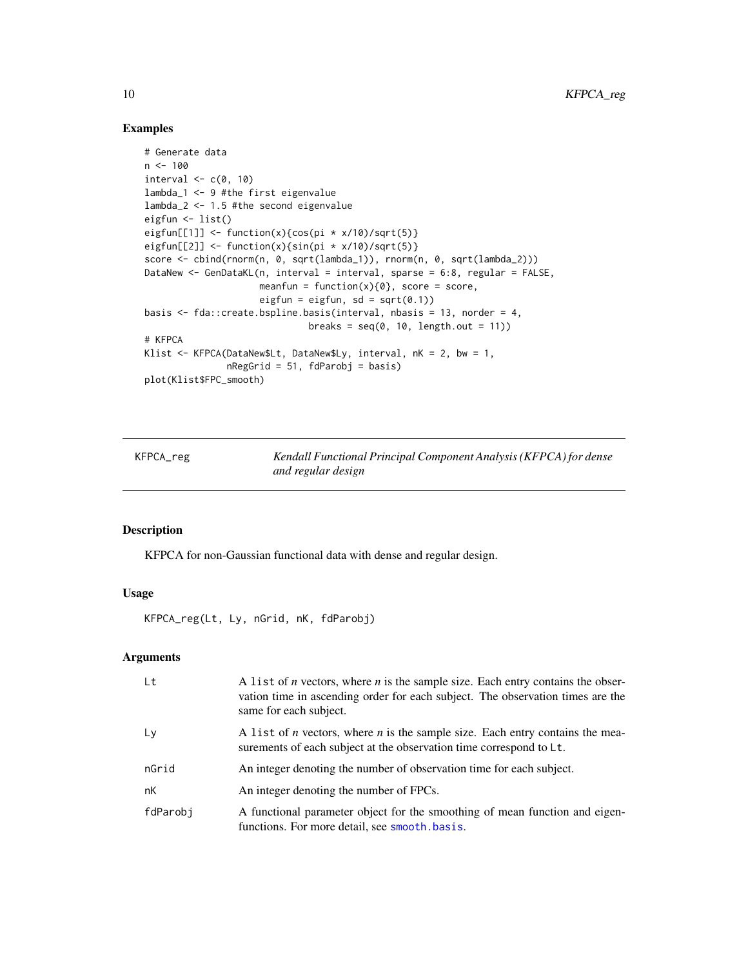#### Examples

```
# Generate data
n < -100interval \leq c(0, 10)lambda_1 <- 9 #the first eigenvalue
lambda_2 <- 1.5 #the second eigenvalue
eigfun <- list()
eigfun[[1]] <- function(x){cos(pi * x/10)/sqrt(5)}
eigfun[[2]] <- function(x){sin(pi * x/10)/sqrt(5)}
score <- cbind(rnorm(n, 0, sqrt(lambda_1)), rnorm(n, 0, sqrt(lambda_2)))
DataNew <- GenDataKL(n, interval = interval, sparse = 6:8, regular = FALSE,
                     meanfun = function(x){0}, score = score,
                     eigfun = eigfun, sd = sqrt(0.1))
basis <- fda::create.bspline.basis(interval, nbasis = 13, norder = 4,
                              breaks = seq(0, 10, length.out = 11))# KFPCA
Klist <- KFPCA(DataNew$Lt, DataNew$Ly, interval, nK = 2, bw = 1,
               nRegGrid = 51, fdParobj = basis)
plot(Klist$FPC_smooth)
```
KFPCA\_reg *Kendall Functional Principal Component Analysis (KFPCA) for dense and regular design*

#### Description

KFPCA for non-Gaussian functional data with dense and regular design.

#### Usage

KFPCA\_reg(Lt, Ly, nGrid, nK, fdParobj)

#### Arguments

| Lt       | A list of <i>n</i> vectors, where <i>n</i> is the sample size. Each entry contains the obser-<br>vation time in ascending order for each subject. The observation times are the<br>same for each subject. |
|----------|-----------------------------------------------------------------------------------------------------------------------------------------------------------------------------------------------------------|
| Ly       | A list of <i>n</i> vectors, where <i>n</i> is the sample size. Each entry contains the mea-<br>surements of each subject at the observation time correspond to Lt.                                        |
| nGrid    | An integer denoting the number of observation time for each subject.                                                                                                                                      |
| nK       | An integer denoting the number of FPCs.                                                                                                                                                                   |
| fdParobj | A functional parameter object for the smoothing of mean function and eigen-<br>functions. For more detail, see smooth, basis.                                                                             |

<span id="page-9-0"></span>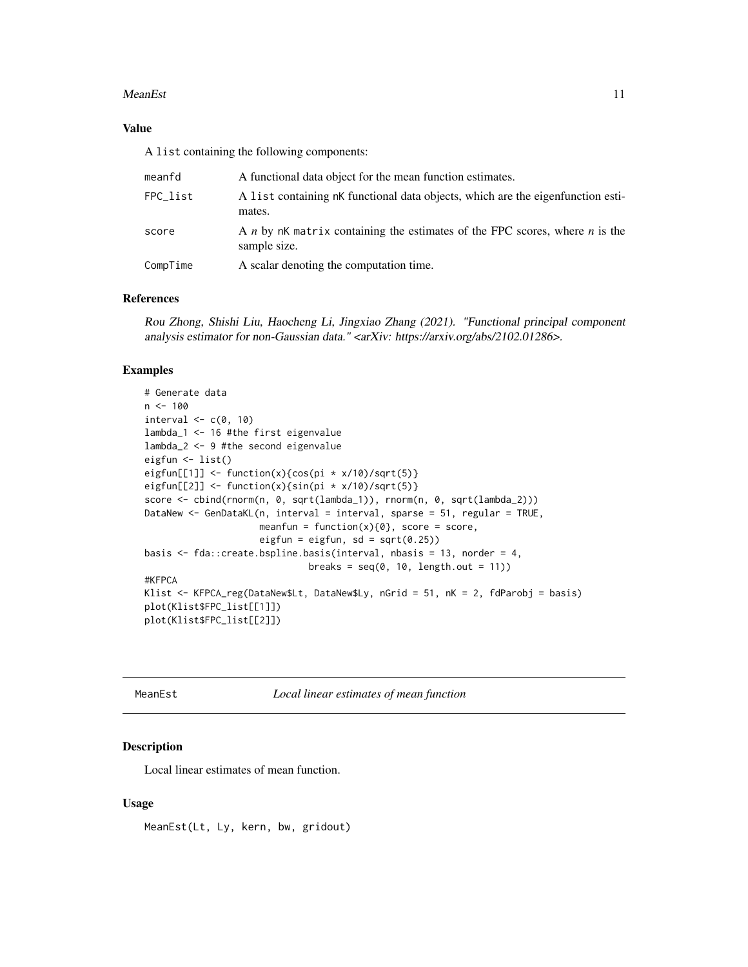#### <span id="page-10-0"></span>MeanEst 11

#### Value

A list containing the following components:

| meanfd   | A functional data object for the mean function estimates.                                   |
|----------|---------------------------------------------------------------------------------------------|
| FPC_list | A list containing nK functional data objects, which are the eigenfunction esti-<br>mates.   |
| score    | A n by nK matrix containing the estimates of the FPC scores, where n is the<br>sample size. |
| CompTime | A scalar denoting the computation time.                                                     |

#### References

Rou Zhong, Shishi Liu, Haocheng Li, Jingxiao Zhang (2021). "Functional principal component analysis estimator for non-Gaussian data." <arXiv: https://arxiv.org/abs/2102.01286>.

#### Examples

```
# Generate data
n < - 100interval \leq -c(0, 10)lambda_1 <- 16 #the first eigenvalue
lambda_2 <- 9 #the second eigenvalue
eigfun <- list()
eigfun[[1]] <- function(x){cos(pi * x/10)/sqrt(5)}
eigfun[[2]] \leftarrow function(x){sin(pi * x/10)/sqrt(5)}
score <- cbind(rnorm(n, 0, sqrt(lambda_1)), rnorm(n, 0, sqrt(lambda_2)))
DataNew <- GenDataKL(n, interval = interval, sparse = 51, regular = TRUE,
                     meanfun = function(x){0}, score = score,
                     eigfun = eigfun, sd = sqrt(0.25))
basis <- fda::create.bspline.basis(interval, nbasis = 13, norder = 4,
                              breaks = seq(0, 10, length.out = 11))#KFPCA
Klist <- KFPCA_reg(DataNew$Lt, DataNew$Ly, nGrid = 51, nK = 2, fdParobj = basis)
plot(Klist$FPC_list[[1]])
plot(Klist$FPC_list[[2]])
```
MeanEst *Local linear estimates of mean function*

#### **Description**

Local linear estimates of mean function.

#### Usage

MeanEst(Lt, Ly, kern, bw, gridout)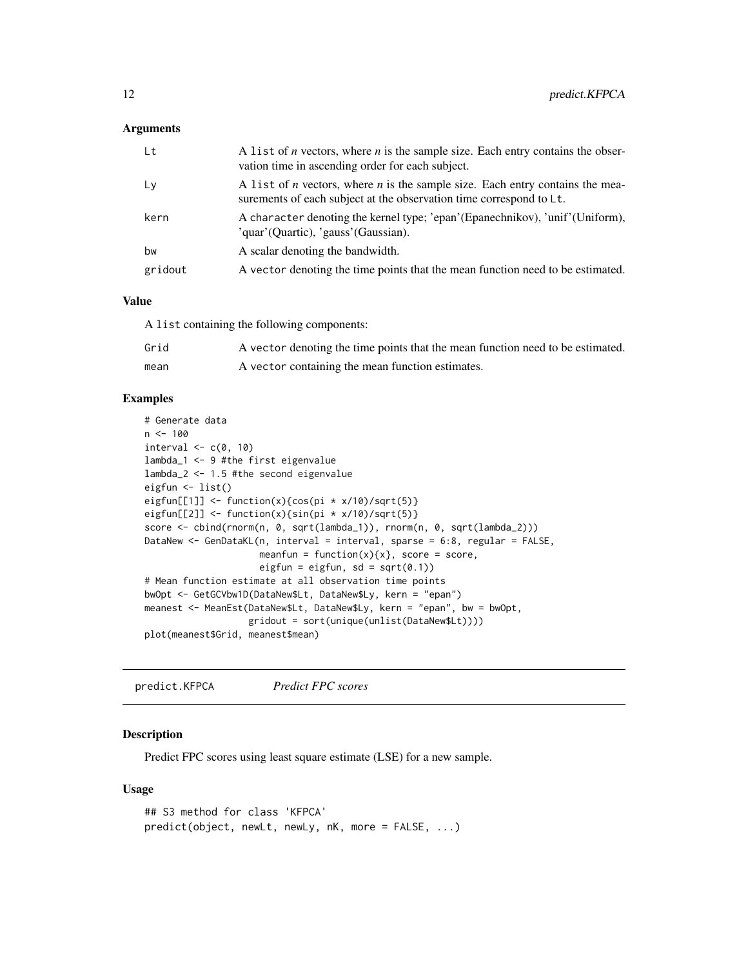#### <span id="page-11-0"></span>**Arguments**

| Lt      | A list of $n$ vectors, where $n$ is the sample size. Each entry contains the obser-<br>vation time in ascending order for each subject.                            |
|---------|--------------------------------------------------------------------------------------------------------------------------------------------------------------------|
| Ly      | A list of <i>n</i> vectors, where <i>n</i> is the sample size. Each entry contains the mea-<br>surements of each subject at the observation time correspond to Lt. |
| kern    | A character denoting the kernel type; 'epan'(Epanechnikov), 'unif'(Uniform),<br>'quar'(Quartic), 'gauss'(Gaussian).                                                |
| bw      | A scalar denoting the bandwidth.                                                                                                                                   |
| gridout | A vector denoting the time points that the mean function need to be estimated.                                                                                     |

#### Value

A list containing the following components:

| Grid | A vector denoting the time points that the mean function need to be estimated. |
|------|--------------------------------------------------------------------------------|
| mean | A vector containing the mean function estimates.                               |

#### Examples

```
# Generate data
n <- 100
interval \leq c(0, 10)
lambda_1 <- 9 #the first eigenvalue
lambda_2 <- 1.5 #the second eigenvalue
eigfun <- list()
eigfun[[1]] <- function(x){cos(pi * x/10)/sqrt(5)}
eigfun[[2]] <- function(x){sin(pi * x/10)/sqrt(5)}
score <- cbind(rnorm(n, 0, sqrt(lambda_1)), rnorm(n, 0, sqrt(lambda_2)))
DataNew <- GenDataKL(n, interval = interval, sparse = 6:8, regular = FALSE,
                     meanfun = function(x){x}, score = score,
                     eigfun = eigfun, sd = sqrt(0.1))
# Mean function estimate at all observation time points
bwOpt <- GetGCVbw1D(DataNew$Lt, DataNew$Ly, kern = "epan")
meanest <- MeanEst(DataNew$Lt, DataNew$Ly, kern = "epan", bw = bwOpt,
                   gridout = sort(unique(unlist(DataNew$Lt))))
plot(meanest$Grid, meanest$mean)
```
predict.KFPCA *Predict FPC scores*

#### Description

Predict FPC scores using least square estimate (LSE) for a new sample.

#### Usage

```
## S3 method for class 'KFPCA'
predict(object, newLt, newLy, nK, more = FALSE, ...)
```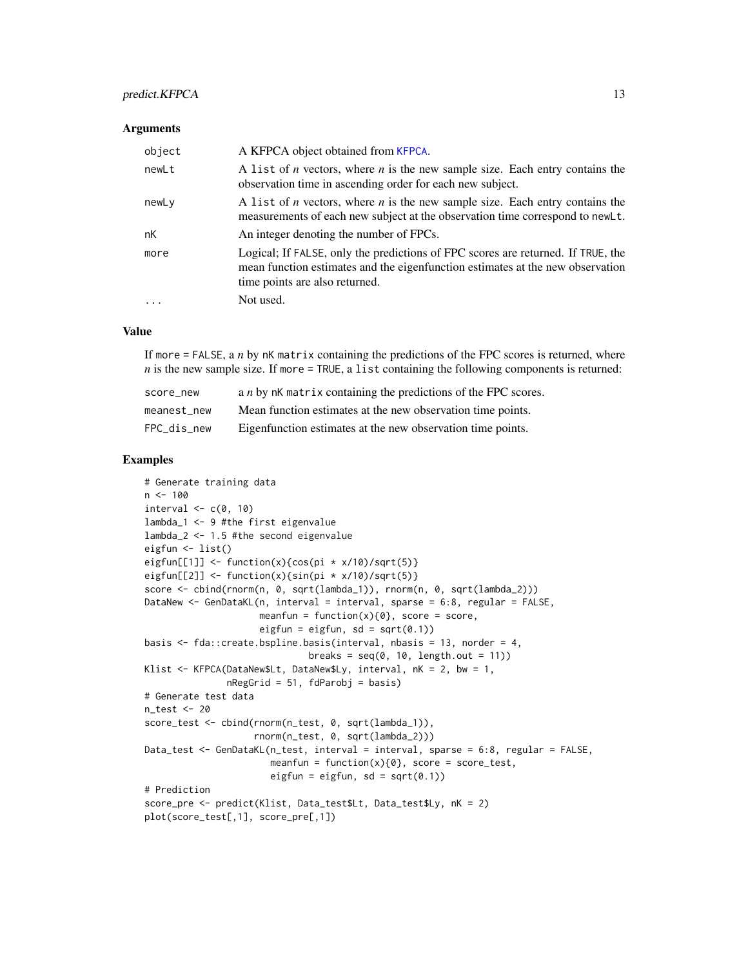#### <span id="page-12-0"></span>predict.KFPCA 13

#### **Arguments**

| object | A KFPCA object obtained from KFPCA.                                                                                                                                                                  |
|--------|------------------------------------------------------------------------------------------------------------------------------------------------------------------------------------------------------|
| newLt  | A list of <i>n</i> vectors, where <i>n</i> is the new sample size. Each entry contains the<br>observation time in ascending order for each new subject.                                              |
| newLy  | A list of <i>n</i> vectors, where <i>n</i> is the new sample size. Each entry contains the<br>measurements of each new subject at the observation time correspond to newLt.                          |
| nK     | An integer denoting the number of FPCs.                                                                                                                                                              |
| more   | Logical; If FALSE, only the predictions of FPC scores are returned. If TRUE, the<br>mean function estimates and the eigenfunction estimates at the new observation<br>time points are also returned. |
|        | Not used.                                                                                                                                                                                            |

#### Value

If more = FALSE, a *n* by nK matrix containing the predictions of the FPC scores is returned, where  $n$  is the new sample size. If more = TRUE, a list containing the following components is returned:

| score new   | a <i>n</i> by nK matrix containing the predictions of the FPC scores. |
|-------------|-----------------------------------------------------------------------|
| meanest new | Mean function estimates at the new observation time points.           |
| FPC_dis_new | Eigenfunction estimates at the new observation time points.           |

```
# Generate training data
n < -100interval \leq c(0, 10)
lambda_1 <- 9 #the first eigenvalue
lambda_2 <- 1.5 #the second eigenvalue
eigfun <- list()
eigfun[[1]] <- function(x){cos(pi * x/10)/sqrt(5)}
eigfun[[2]] <- function(x){sin(pi * x/10)/sqrt(5)}
score <- cbind(rnorm(n, 0, sqrt(lambda_1)), rnorm(n, 0, sqrt(lambda_2)))
DataNew <- GenDataKL(n, interval = interval, sparse = 6:8, regular = FALSE,
                     meanfun = function(x){0}, score = score,
                     eigfun = eigfun, sd = sqrt(0.1))
basis <- fda::create.bspline.basis(interval, nbasis = 13, norder = 4,
                              breaks = seq(0, 10, length.out = 11))Klist <- KFPCA(DataNew$Lt, DataNew$Ly, interval, nK = 2, bw = 1,
               nRegGrid = 51, fdParobj = basis)
# Generate test data
n_test <- 20
score_test <- cbind(rnorm(n_test, 0, sqrt(lambda_1)),
                    rnorm(n_test, 0, sqrt(lambda_2)))
Data_test <- GenDataKL(n_test, interval = interval, sparse = 6:8, regular = FALSE,
                       meanfun = function(x)\{0\}, score = score_test,
                       eigfun = eigfun, sd = sqrt(0.1))
# Prediction
score_pre <- predict(Klist, Data_test$Lt, Data_test$Ly, nK = 2)
plot(score_test[,1], score_pre[,1])
```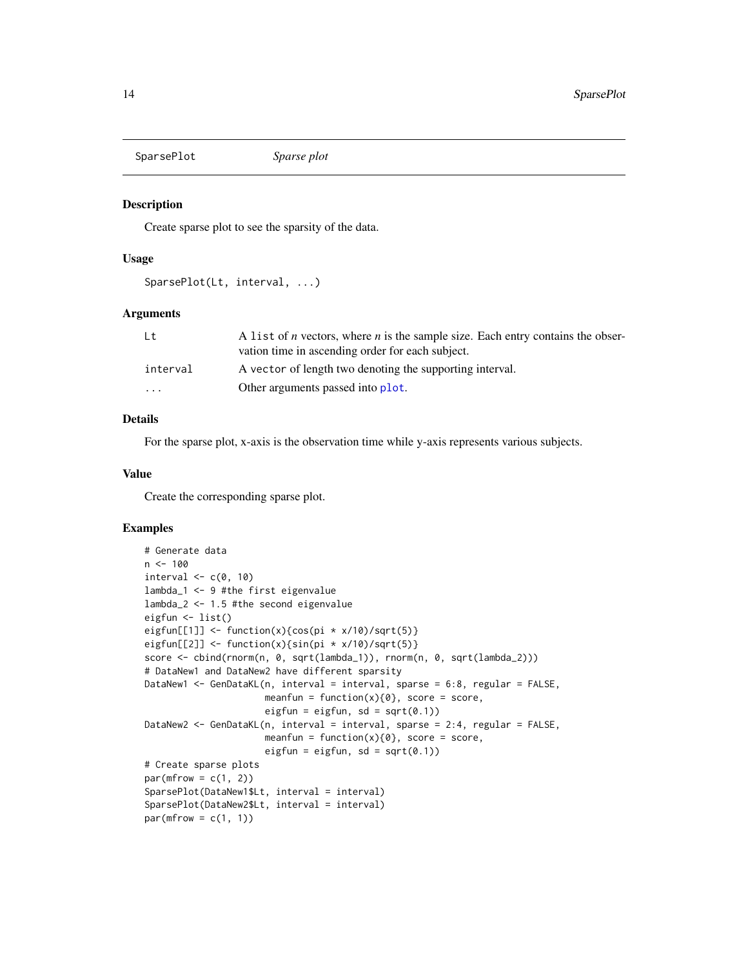<span id="page-13-0"></span>SparsePlot *Sparse plot*

#### Description

Create sparse plot to see the sparsity of the data.

#### Usage

```
SparsePlot(Lt, interval, ...)
```
#### Arguments

| Lt       | A list of <i>n</i> vectors, where <i>n</i> is the sample size. Each entry contains the obser- |
|----------|-----------------------------------------------------------------------------------------------|
|          | vation time in ascending order for each subject.                                              |
| interval | A vector of length two denoting the supporting interval.                                      |
| .        | Other arguments passed into plot.                                                             |

#### Details

For the sparse plot, x-axis is the observation time while y-axis represents various subjects.

#### Value

Create the corresponding sparse plot.

```
# Generate data
n < - 100interval \leq c(0, 10)lambda_1 <- 9 #the first eigenvalue
lambda_2 <- 1.5 #the second eigenvalue
eigfun <- list()
eigfun[[1]] <- function(x){cos(pi * x/10)/sqrt(5)}
eigfun[[2]] <- function(x){sin(pi * x/10)/sqrt(5)}
score <- cbind(rnorm(n, 0, sqrt(lambda_1)), rnorm(n, 0, sqrt(lambda_2)))
# DataNew1 and DataNew2 have different sparsity
DataNew1 <- GenDataKL(n, interval = interval, sparse = 6:8, regular = FALSE,
                      meanfun = function(x)\{0\}, score = score,
                      eigfun = eigfun, sd = sqrt(0.1))
DataNew2 <- GenDataKL(n, interval = interval, sparse = 2:4, regular = FALSE,
                      meanfun = function(x){0}, score = score,
                      eigfun = eigfun, sd = sqrt(0.1))
# Create sparse plots
par(mfrow = c(1, 2))SparsePlot(DataNew1$Lt, interval = interval)
SparsePlot(DataNew2$Lt, interval = interval)
par(mfrow = c(1, 1))
```